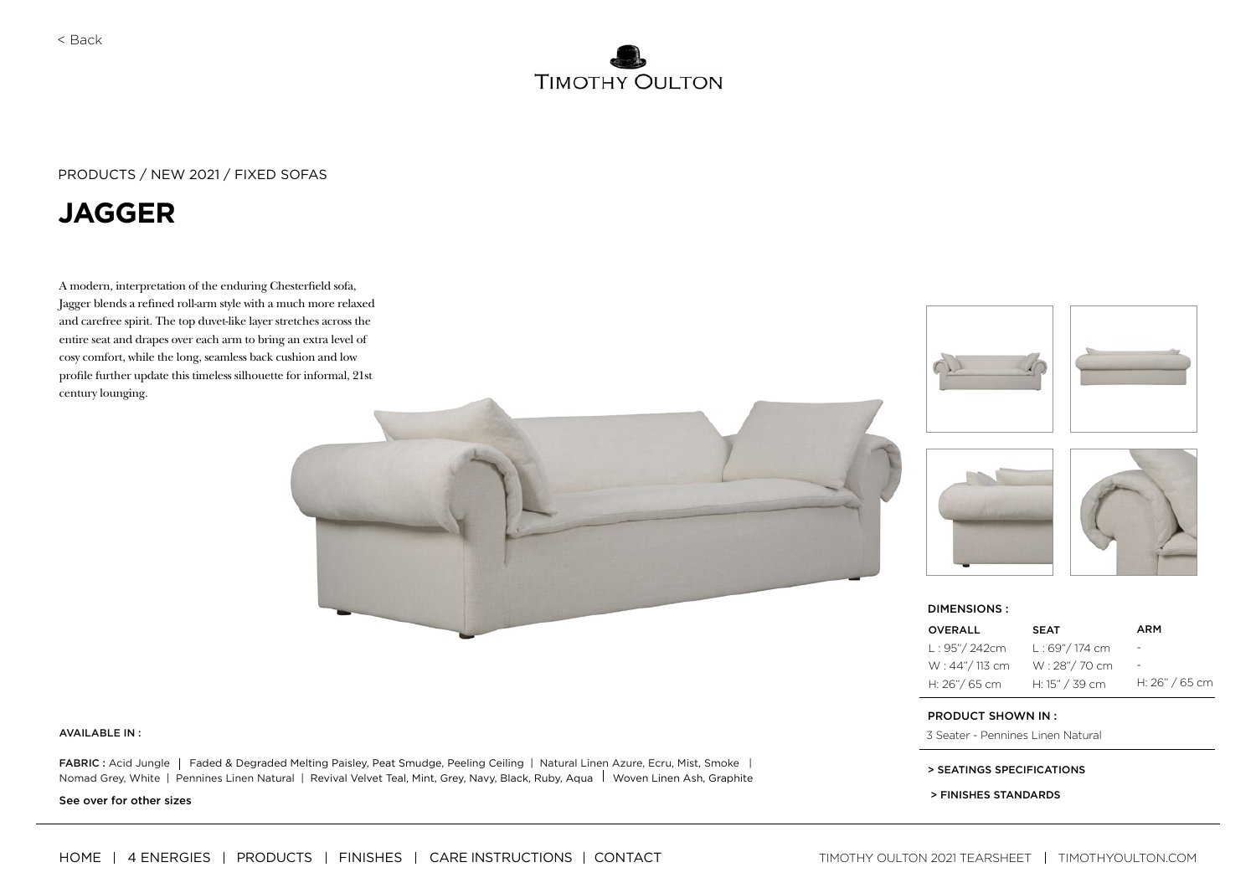

### PRODUCTS / NEW 2021 / FIXED SOFAS

# **JAGGER**

A modern, interpretation of the enduring Chesterfield sofa, Jagger blends a refined roll-arm style with a much more relaxed and carefree spirit. The top duvet-like layer stretches across the entire seat and drapes over each arm to bring an extra level of cosy comfort, while the long, seamless back cushion and low profile further update this timeless silhouette for informal, 21st century lounging.









DIMENSIONS :

| <b>OVERALL</b> | <b>SEAT</b>             | <b>ARM</b>       |
|----------------|-------------------------|------------------|
| L:95''/242cm   | $L:69\%/174 \text{ cm}$ |                  |
| W: 44"/113 cm  | W: 28"/70 cm            | ٠.               |
| H: 26"/65 cm   | H: 15" / 39 cm          | H: $26" / 65$ cm |

#### PRODUCT SHOWN IN :

3 Seater - Pennines Linen Natural

> SEATINGS SPECIFICATIONS

> FINISHES STANDARDS

#### AVAILABLE IN :

FABRIC : Acid Jungle | Faded & Degraded Melting Paisley, Peat Smudge, Peeling Ceiling | Natural Linen Azure, Ecru, Mist, Smoke | Nomad Grey, White | Pennines Linen Natural | Revival Velvet Teal, Mint, Grey, Navy, Black, Ruby, Aqua | Woven Linen Ash, Graphite

See over for other sizes